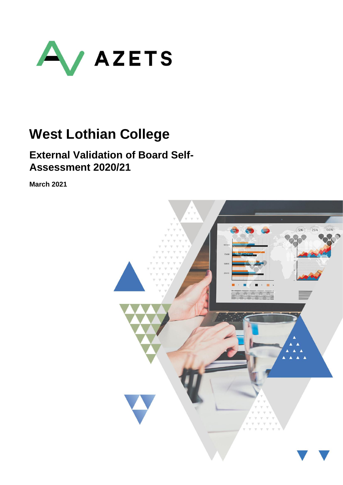

# **West Lothian College**

### **External Validation of Board Self-Assessment 2020/21**

**March 2021**

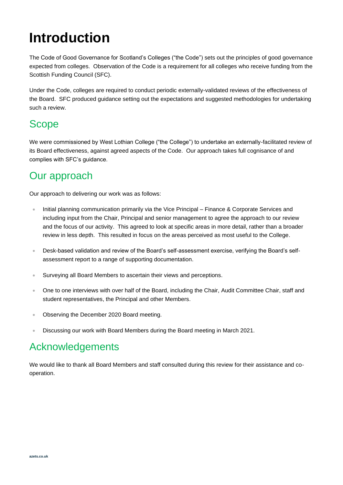# **Introduction**

The Code of Good Governance for Scotland's Colleges ("the Code") sets out the principles of good governance expected from colleges. Observation of the Code is a requirement for all colleges who receive funding from the Scottish Funding Council (SFC).

Under the Code, colleges are required to conduct periodic externally-validated reviews of the effectiveness of the Board. SFC produced guidance setting out the expectations and suggested methodologies for undertaking such a review.

### Scope

We were commissioned by West Lothian College ("the College") to undertake an externally-facilitated review of its Board effectiveness, against agreed aspects of the Code. Our approach takes full cognisance of and complies with SFC's guidance.

#### Our approach

Our approach to delivering our work was as follows:

- Initial planning communication primarily via the Vice Principal Finance & Corporate Services and including input from the Chair, Principal and senior management to agree the approach to our review and the focus of our activity. This agreed to look at specific areas in more detail, rather than a broader review in less depth. This resulted in focus on the areas perceived as most useful to the College.
- Desk-based validation and review of the Board's self-assessment exercise, verifying the Board's selfassessment report to a range of supporting documentation.
- Surveying all Board Members to ascertain their views and perceptions.
- One to one interviews with over half of the Board, including the Chair, Audit Committee Chair, staff and student representatives, the Principal and other Members.
- Observing the December 2020 Board meeting.
- Discussing our work with Board Members during the Board meeting in March 2021.

#### Acknowledgements

We would like to thank all Board Members and staff consulted during this review for their assistance and cooperation.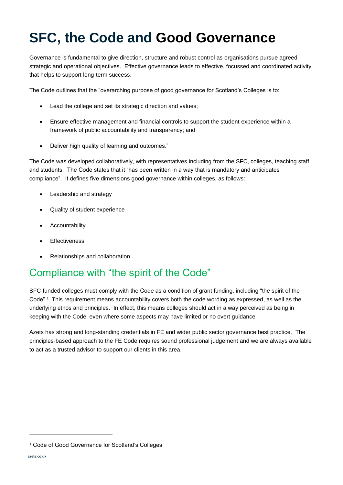# **SFC, the Code and Good Governance**

Governance is fundamental to give direction, structure and robust control as organisations pursue agreed strategic and operational objectives. Effective governance leads to effective, focussed and coordinated activity that helps to support long-term success.

The Code outlines that the "overarching purpose of good governance for Scotland's Colleges is to:

- Lead the college and set its strategic direction and values;
- Ensure effective management and financial controls to support the student experience within a framework of public accountability and transparency; and
- Deliver high quality of learning and outcomes."

The Code was developed collaboratively, with representatives including from the SFC, colleges, teaching staff and students. The Code states that it "has been written in a way that is mandatory and anticipates compliance". It defines five dimensions good governance within colleges, as follows:

- Leadership and strategy
- Quality of student experience
- **Accountability**
- **Effectiveness**
- Relationships and collaboration.

#### Compliance with "the spirit of the Code"

SFC-funded colleges must comply with the Code as a condition of grant funding, including "the spirit of the Code".<sup>1</sup> This requirement means accountability covers both the code wording as expressed, as well as the underlying ethos and principles. In effect, this means colleges should act in a way perceived as being in keeping with the Code, even where some aspects may have limited or no overt guidance.

Azets has strong and long-standing credentials in FE and wider public sector governance best practice. The principles-based approach to the FE Code requires sound professional judgement and we are always available to act as a trusted advisor to support our clients in this area.

<sup>&</sup>lt;sup>1</sup> Code of Good Governance for Scotland's Colleges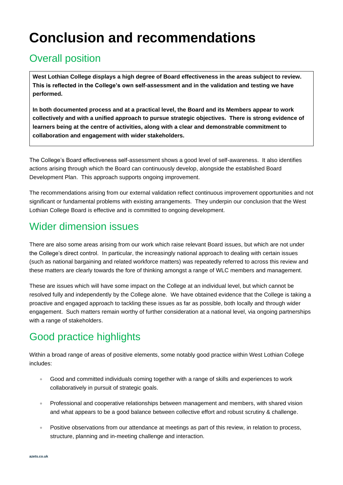# **Conclusion and recommendations**

### Overall position

**West Lothian College displays a high degree of Board effectiveness in the areas subject to review. This is reflected in the College's own self-assessment and in the validation and testing we have performed.**

**In both documented process and at a practical level, the Board and its Members appear to work collectively and with a unified approach to pursue strategic objectives. There is strong evidence of learners being at the centre of activities, along with a clear and demonstrable commitment to collaboration and engagement with wider stakeholders.**

The College's Board effectiveness self-assessment shows a good level of self-awareness. It also identifies actions arising through which the Board can continuously develop, alongside the established Board Development Plan. This approach supports ongoing improvement.

The recommendations arising from our external validation reflect continuous improvement opportunities and not significant or fundamental problems with existing arrangements. They underpin our conclusion that the West Lothian College Board is effective and is committed to ongoing development.

### Wider dimension issues

There are also some areas arising from our work which raise relevant Board issues, but which are not under the College's direct control. In particular, the increasingly national approach to dealing with certain issues (such as national bargaining and related workforce matters) was repeatedly referred to across this review and these matters are clearly towards the fore of thinking amongst a range of WLC members and management.

These are issues which will have some impact on the College at an individual level, but which cannot be resolved fully and independently by the College alone. We have obtained evidence that the College is taking a proactive and engaged approach to tackling these issues as far as possible, both locally and through wider engagement. Such matters remain worthy of further consideration at a national level, via ongoing partnerships with a range of stakeholders.

### Good practice highlights

Within a broad range of areas of positive elements, some notably good practice within West Lothian College includes:

- Good and committed individuals coming together with a range of skills and experiences to work collaboratively in pursuit of strategic goals.
- Professional and cooperative relationships between management and members, with shared vision and what appears to be a good balance between collective effort and robust scrutiny & challenge.
- Positive observations from our attendance at meetings as part of this review, in relation to process, structure, planning and in-meeting challenge and interaction.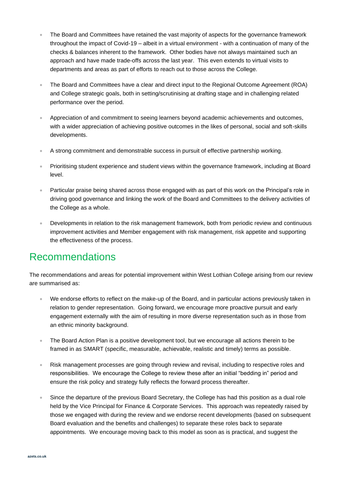- The Board and Committees have retained the vast majority of aspects for the governance framework throughout the impact of Covid-19 – albeit in a virtual environment - with a continuation of many of the checks & balances inherent to the framework. Other bodies have not always maintained such an approach and have made trade-offs across the last year. This even extends to virtual visits to departments and areas as part of efforts to reach out to those across the College.
- The Board and Committees have a clear and direct input to the Regional Outcome Agreement (ROA) and College strategic goals, both in setting/scrutinising at drafting stage and in challenging related performance over the period.
- Appreciation of and commitment to seeing learners beyond academic achievements and outcomes, with a wider appreciation of achieving positive outcomes in the likes of personal, social and soft-skills developments.
- A strong commitment and demonstrable success in pursuit of effective partnership working.
- Prioritising student experience and student views within the governance framework, including at Board level.
- Particular praise being shared across those engaged with as part of this work on the Principal's role in driving good governance and linking the work of the Board and Committees to the delivery activities of the College as a whole.
- Developments in relation to the risk management framework, both from periodic review and continuous improvement activities and Member engagement with risk management, risk appetite and supporting the effectiveness of the process.

#### Recommendations

The recommendations and areas for potential improvement within West Lothian College arising from our review are summarised as:

- We endorse efforts to reflect on the make-up of the Board, and in particular actions previously taken in relation to gender representation. Going forward, we encourage more proactive pursuit and early engagement externally with the aim of resulting in more diverse representation such as in those from an ethnic minority background.
- The Board Action Plan is a positive development tool, but we encourage all actions therein to be framed in as SMART (specific, measurable, achievable, realistic and timely) terms as possible.
- Risk management processes are going through review and revisal, including to respective roles and responsibilities. We encourage the College to review these after an initial "bedding in" period and ensure the risk policy and strategy fully reflects the forward process thereafter.
- Since the departure of the previous Board Secretary, the College has had this position as a dual role held by the Vice Principal for Finance & Corporate Services. This approach was repeatedly raised by those we engaged with during the review and we endorse recent developments (based on subsequent Board evaluation and the benefits and challenges) to separate these roles back to separate appointments. We encourage moving back to this model as soon as is practical, and suggest the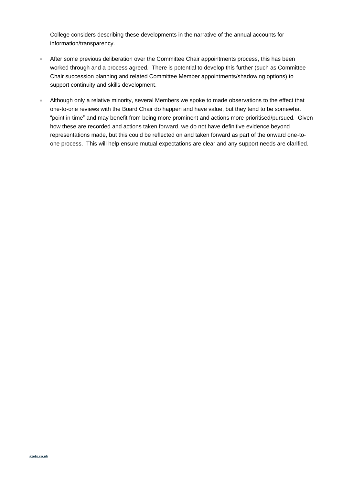College considers describing these developments in the narrative of the annual accounts for information/transparency.

- After some previous deliberation over the Committee Chair appointments process, this has been worked through and a process agreed. There is potential to develop this further (such as Committee Chair succession planning and related Committee Member appointments/shadowing options) to support continuity and skills development.
- Although only a relative minority, several Members we spoke to made observations to the effect that one-to-one reviews with the Board Chair do happen and have value, but they tend to be somewhat "point in time" and may benefit from being more prominent and actions more prioritised/pursued. Given how these are recorded and actions taken forward, we do not have definitive evidence beyond representations made, but this could be reflected on and taken forward as part of the onward one-toone process. This will help ensure mutual expectations are clear and any support needs are clarified.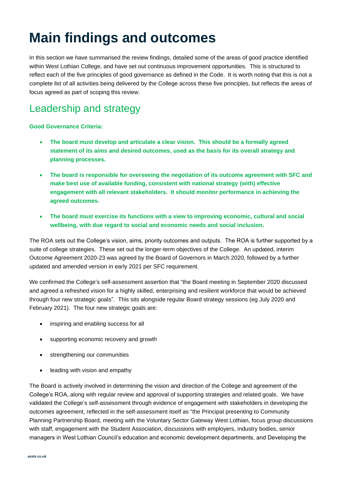# **Main findings and outcomes**

In this section we have summarised the review findings, detailed some of the areas of good practice identified within West Lothian College, and have set out continuous improvement opportunities. This is structured to reflect each of the five principles of good governance as defined in the Code. It is worth noting that this is not a complete list of all activities being delivered by the College across these five principles, but reflects the areas of focus agreed as part of scoping this review.

#### Leadership and strategy

#### **Good Governance Criteria:**

- **The board must develop and articulate a clear vision. This should be a formally agreed statement of its aims and desired outcomes, used as the basis for its overall strategy and planning processes.**
- **The board is responsible for overseeing the negotiation of its outcome agreement with SFC and make best use of available funding, consistent with national strategy (with) effective engagement with all relevant stakeholders. It should monitor performance in achieving the agreed outcomes.**
- **The board must exercise its functions with a view to improving economic, cultural and social wellbeing, with due regard to social and economic needs and social inclusion.**

The ROA sets out the College's vision, aims, priority outcomes and outputs. The ROA is further supported by a suite of college strategies. These set out the longer-term objectives of the College. An updated, interim Outcome Agreement 2020-23 was agreed by the Board of Governors in March 2020, followed by a further updated and amended version in early 2021 per SFC requirement.

We confirmed the College's self-assessment assertion that "the Board meeting in September 2020 discussed and agreed a refreshed vision for a highly skilled, enterprising and resilient workforce that would be achieved through four new strategic goals". This sits alongside regular Board strategy sessions (eg July 2020 and February 2021). The four new strategic goals are:

- inspiring and enabling success for all
- supporting economic recovery and growth
- strengthening our communities
- leading with vision and empathy

The Board is actively involved in determining the vision and direction of the College and agreement of the College's ROA, along with regular review and approval of supporting strategies and related goals. We have validated the College's self-assessment through evidence of engagement with stakeholders in developing the outcomes agreement, reflected in the self-assessment itself as "the Principal presenting to Community Planning Partnership Board, meeting with the Voluntary Sector Gateway West Lothian, focus group discussions with staff, engagement with the Student Association, discussions with employers, industry bodies, senior managers in West Lothian Council's education and economic development departments, and Developing the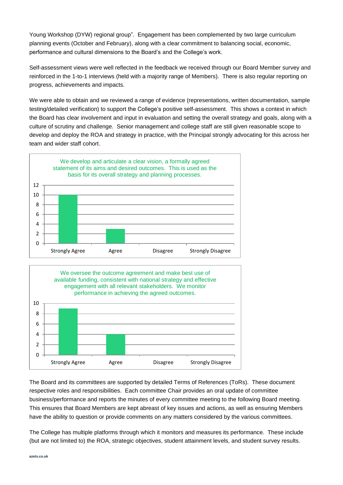Young Workshop (DYW) regional group". Engagement has been complemented by two large curriculum planning events (October and February), along with a clear commitment to balancing social, economic, performance and cultural dimensions to the Board's and the College's work.

Self-assessment views were well reflected in the feedback we received through our Board Member survey and reinforced in the 1-to-1 interviews (held with a majority range of Members). There is also regular reporting on progress, achievements and impacts.

We were able to obtain and we reviewed a range of evidence (representations, written documentation, sample testing/detailed verification) to support the College's positive self-assessment. This shows a context in which the Board has clear involvement and input in evaluation and setting the overall strategy and goals, along with a culture of scrutiny and challenge. Senior management and college staff are still given reasonable scope to develop and deploy the ROA and strategy in practice, with the Principal strongly advocating for this across her team and wider staff cohort.





The Board and its committees are supported by detailed Terms of References (ToRs). These document respective roles and responsibilities. Each committee Chair provides an oral update of committee business/performance and reports the minutes of every committee meeting to the following Board meeting. This ensures that Board Members are kept abreast of key issues and actions, as well as ensuring Members have the ability to question or provide comments on any matters considered by the various committees.

The College has multiple platforms through which it monitors and measures its performance. These include (but are not limited to) the ROA, strategic objectives, student attainment levels, and student survey results.

**azets.co.uk**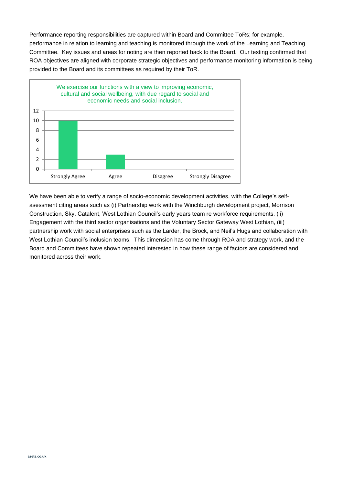Performance reporting responsibilities are captured within Board and Committee ToRs; for example, performance in relation to learning and teaching is monitored through the work of the Learning and Teaching Committee. Key issues and areas for noting are then reported back to the Board. Our testing confirmed that ROA objectives are aligned with corporate strategic objectives and performance monitoring information is being provided to the Board and its committees as required by their ToR.



We have been able to verify a range of socio-economic development activities, with the College's selfasessment citing areas such as (i) Partnership work with the Winchburgh development project, Morrison Construction, Sky, Catalent, West Lothian Council's early years team re workforce requirements, (ii) Engagement with the third sector organisations and the Voluntary Sector Gateway West Lothian, (iii) partnership work with social enterprises such as the Larder, the Brock, and Neil's Hugs and collaboration with West Lothian Council's inclusion teams. This dimension has come through ROA and strategy work, and the Board and Committees have shown repeated interested in how these range of factors are considered and monitored across their work.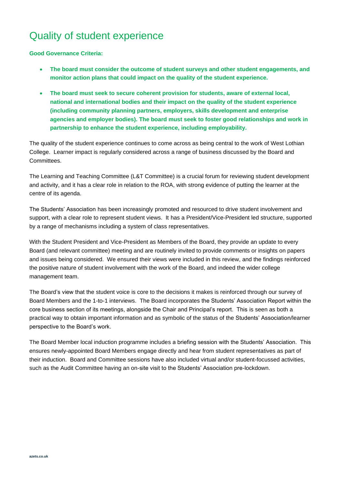### Quality of student experience

**Good Governance Criteria:** 

- **The board must consider the outcome of student surveys and other student engagements, and monitor action plans that could impact on the quality of the student experience.**
- **The board must seek to secure coherent provision for students, aware of external local, national and international bodies and their impact on the quality of the student experience (including community planning partners, employers, skills development and enterprise agencies and employer bodies). The board must seek to foster good relationships and work in partnership to enhance the student experience, including employability.**

The quality of the student experience continues to come across as being central to the work of West Lothian College. Learner impact is regularly considered across a range of business discussed by the Board and Committees.

The Learning and Teaching Committee (L&T Committee) is a crucial forum for reviewing student development and activity, and it has a clear role in relation to the ROA, with strong evidence of putting the learner at the centre of its agenda.

The Students' Association has been increasingly promoted and resourced to drive student involvement and support, with a clear role to represent student views. It has a President/Vice-President led structure, supported by a range of mechanisms including a system of class representatives.

With the Student President and Vice-President as Members of the Board, they provide an update to every Board (and relevant committee) meeting and are routinely invited to provide comments or insights on papers and issues being considered. We ensured their views were included in this review, and the findings reinforced the positive nature of student involvement with the work of the Board, and indeed the wider college management team.

The Board's view that the student voice is core to the decisions it makes is reinforced through our survey of Board Members and the 1-to-1 interviews. The Board incorporates the Students' Association Report within the core business section of its meetings, alongside the Chair and Principal's report. This is seen as both a practical way to obtain important information and as symbolic of the status of the Students' Association/learner perspective to the Board's work.

The Board Member local induction programme includes a briefing session with the Students' Association. This ensures newly-appointed Board Members engage directly and hear from student representatives as part of their induction. Board and Committee sessions have also included virtual and/or student-focussed activities, such as the Audit Committee having an on-site visit to the Students' Association pre-lockdown.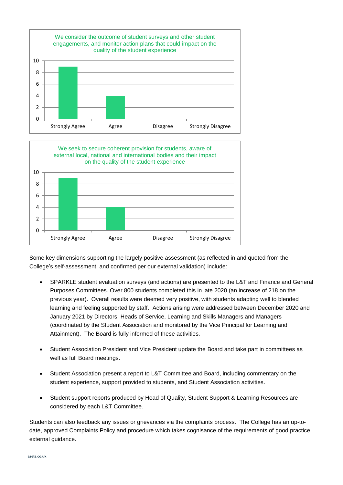



Some key dimensions supporting the largely positive assessment (as reflected in and quoted from the College's self-assessment, and confirmed per our external validation) include:

- SPARKLE student evaluation surveys (and actions) are presented to the L&T and Finance and General Purposes Committees. Over 800 students completed this in late 2020 (an increase of 218 on the previous year). Overall results were deemed very positive, with students adapting well to blended learning and feeling supported by staff. Actions arising were addressed between December 2020 and January 2021 by Directors, Heads of Service, Learning and Skills Managers and Managers (coordinated by the Student Association and monitored by the Vice Principal for Learning and Attainment). The Board is fully informed of these activities.
- Student Association President and Vice President update the Board and take part in committees as well as full Board meetings.
- Student Association present a report to L&T Committee and Board, including commentary on the student experience, support provided to students, and Student Association activities.
- Student support reports produced by Head of Quality, Student Support & Learning Resources are considered by each L&T Committee.

Students can also feedback any issues or grievances via the complaints process. The College has an up-todate, approved Complaints Policy and procedure which takes cognisance of the requirements of good practice external guidance.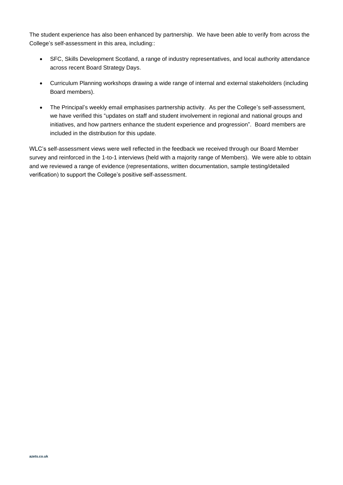The student experience has also been enhanced by partnership. We have been able to verify from across the College's self-assessment in this area, including::

- SFC, Skills Development Scotland, a range of industry representatives, and local authority attendance across recent Board Strategy Days.
- Curriculum Planning workshops drawing a wide range of internal and external stakeholders (including Board members).
- The Principal's weekly email emphasises partnership activity. As per the College's self-assessment, we have verified this "updates on staff and student involvement in regional and national groups and initiatives, and how partners enhance the student experience and progression". Board members are included in the distribution for this update.

WLC's self-assessment views were well reflected in the feedback we received through our Board Member survey and reinforced in the 1-to-1 interviews (held with a majority range of Members). We were able to obtain and we reviewed a range of evidence (representations, written documentation, sample testing/detailed verification) to support the College's positive self-assessment.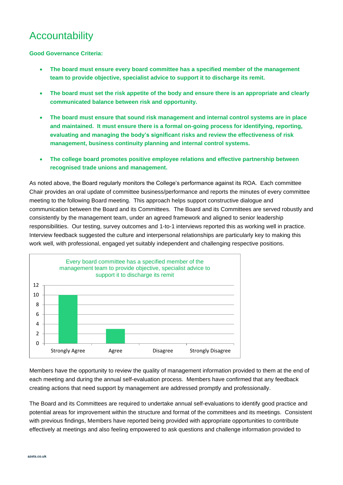#### Accountability

**Good Governance Criteria:** 

- **The board must ensure every board committee has a specified member of the management team to provide objective, specialist advice to support it to discharge its remit.**
- **The board must set the risk appetite of the body and ensure there is an appropriate and clearly communicated balance between risk and opportunity.**
- **The board must ensure that sound risk management and internal control systems are in place and maintained. It must ensure there is a formal on-going process for identifying, reporting, evaluating and managing the body's significant risks and review the effectiveness of risk management, business continuity planning and internal control systems.**
- **The college board promotes positive employee relations and effective partnership between recognised trade unions and management.**

As noted above, the Board regularly monitors the College's performance against its ROA. Each committee Chair provides an oral update of committee business/performance and reports the minutes of every committee meeting to the following Board meeting. This approach helps support constructive dialogue and communication between the Board and its Committees. The Board and its Committees are served robustly and consistently by the management team, under an agreed framework and aligned to senior leadership responsibilities. Our testing, survey outcomes and 1-to-1 interviews reported this as working well in practice. Interview feedback suggested the culture and interpersonal relationships are particularly key to making this work well, with professional, engaged yet suitably independent and challenging respective positions.



Members have the opportunity to review the quality of management information provided to them at the end of each meeting and during the annual self-evaluation process. Members have confirmed that any feedback creating actions that need support by management are addressed promptly and professionally.

The Board and its Committees are required to undertake annual self-evaluations to identify good practice and potential areas for improvement within the structure and format of the committees and its meetings. Consistent with previous findings, Members have reported being provided with appropriate opportunities to contribute effectively at meetings and also feeling empowered to ask questions and challenge information provided to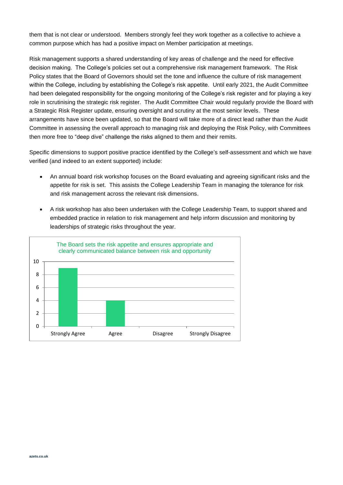them that is not clear or understood. Members strongly feel they work together as a collective to achieve a common purpose which has had a positive impact on Member participation at meetings.

Risk management supports a shared understanding of key areas of challenge and the need for effective decision making. The College's policies set out a comprehensive risk management framework. The Risk Policy states that the Board of Governors should set the tone and influence the culture of risk management within the College, including by establishing the College's risk appetite. Until early 2021, the Audit Committee had been delegated responsibility for the ongoing monitoring of the College's risk register and for playing a key role in scrutinising the strategic risk register. The Audit Committee Chair would regularly provide the Board with a Strategic Risk Register update, ensuring oversight and scrutiny at the most senior levels. These arrangements have since been updated, so that the Board will take more of a direct lead rather than the Audit Committee in assessing the overall approach to managing risk and deploying the Risk Policy, with Committees then more free to "deep dive" challenge the risks aligned to them and their remits.

Specific dimensions to support positive practice identified by the College's self-assessment and which we have verified (and indeed to an extent supported) include:

- An annual board risk workshop focuses on the Board evaluating and agreeing significant risks and the appetite for risk is set. This assists the College Leadership Team in managing the tolerance for risk and risk management across the relevant risk dimensions.
- A risk workshop has also been undertaken with the College Leadership Team, to support shared and embedded practice in relation to risk management and help inform discussion and monitoring by leaderships of strategic risks throughout the year.

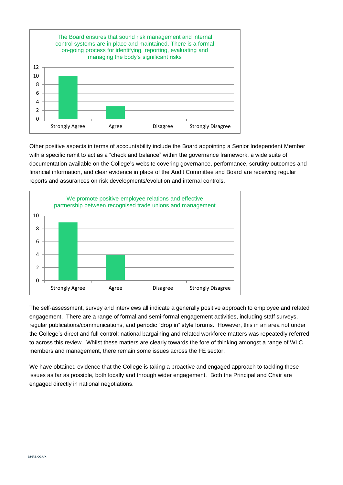

Other positive aspects in terms of accountability include the Board appointing a Senior Independent Member with a specific remit to act as a "check and balance" within the governance framework, a wide suite of documentation available on the College's website covering governance, performance, scrutiny outcomes and financial information, and clear evidence in place of the Audit Committee and Board are receiving regular reports and assurances on risk developments/evolution and internal controls.



The self-assessment, survey and interviews all indicate a generally positive approach to employee and related engagement. There are a range of formal and semi-formal engagement activities, including staff surveys, regular publications/communications, and periodic "drop in" style forums. However, this in an area not under the College's direct and full control; national bargaining and related workforce matters was repeatedly referred to across this review. Whilst these matters are clearly towards the fore of thinking amongst a range of WLC members and management, there remain some issues across the FE sector.

We have obtained evidence that the College is taking a proactive and engaged approach to tackling these issues as far as possible, both locally and through wider engagement. Both the Principal and Chair are engaged directly in national negotiations.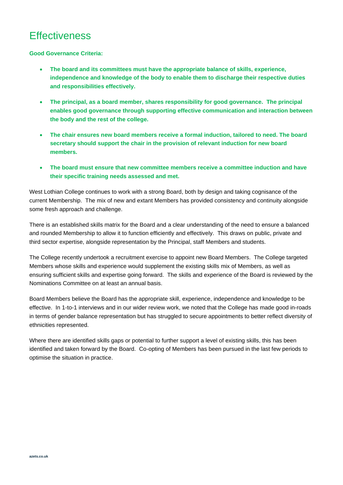#### **Effectiveness**

**Good Governance Criteria:** 

- **The board and its committees must have the appropriate balance of skills, experience, independence and knowledge of the body to enable them to discharge their respective duties and responsibilities effectively.**
- **The principal, as a board member, shares responsibility for good governance. The principal enables good governance through supporting effective communication and interaction between the body and the rest of the college.**
- **The chair ensures new board members receive a formal induction, tailored to need. The board secretary should support the chair in the provision of relevant induction for new board members.**
- **The board must ensure that new committee members receive a committee induction and have their specific training needs assessed and met.**

West Lothian College continues to work with a strong Board, both by design and taking cognisance of the current Membership. The mix of new and extant Members has provided consistency and continuity alongside some fresh approach and challenge.

There is an established skills matrix for the Board and a clear understanding of the need to ensure a balanced and rounded Membership to allow it to function efficiently and effectively. This draws on public, private and third sector expertise, alongside representation by the Principal, staff Members and students.

The College recently undertook a recruitment exercise to appoint new Board Members. The College targeted Members whose skills and experience would supplement the existing skills mix of Members, as well as ensuring sufficient skills and expertise going forward. The skills and experience of the Board is reviewed by the Nominations Committee on at least an annual basis.

Board Members believe the Board has the appropriate skill, experience, independence and knowledge to be effective. In 1-to-1 interviews and in our wider review work, we noted that the College has made good in-roads in terms of gender balance representation but has struggled to secure appointments to better reflect diversity of ethnicities represented.

Where there are identified skills gaps or potential to further support a level of existing skills, this has been identified and taken forward by the Board. Co-opting of Members has been pursued in the last few periods to optimise the situation in practice.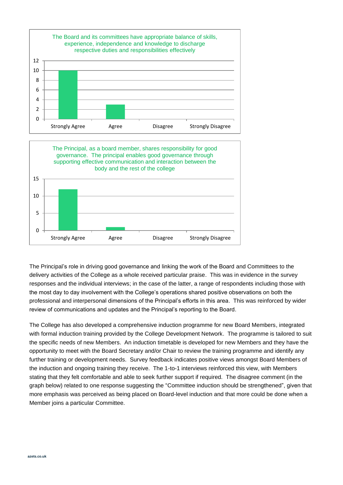



The Principal's role in driving good governance and linking the work of the Board and Committees to the delivery activities of the College as a whole received particular praise. This was in evidence in the survey responses and the individual interviews; in the case of the latter, a range of respondents including those with the most day to day involvement with the College's operations shared positive observations on both the professional and interpersonal dimensions of the Principal's efforts in this area. This was reinforced by wider review of communications and updates and the Principal's reporting to the Board.

The College has also developed a comprehensive induction programme for new Board Members, integrated with formal induction training provided by the College Development Network. The programme is tailored to suit the specific needs of new Members. An induction timetable is developed for new Members and they have the opportunity to meet with the Board Secretary and/or Chair to review the training programme and identify any further training or development needs. Survey feedback indicates positive views amongst Board Members of the induction and ongoing training they receive. The 1-to-1 interviews reinforced this view, with Members stating that they felt comfortable and able to seek further support if required. The disagree comment (in the graph below) related to one response suggesting the "Committee induction should be strengthened", given that more emphasis was perceived as being placed on Board-level induction and that more could be done when a Member joins a particular Committee.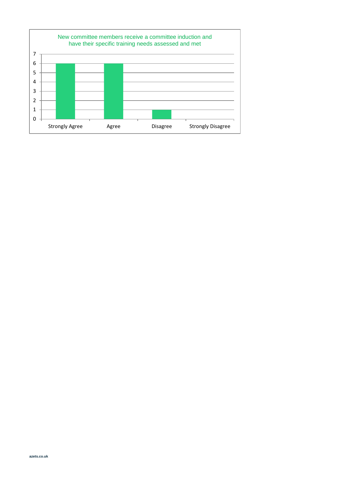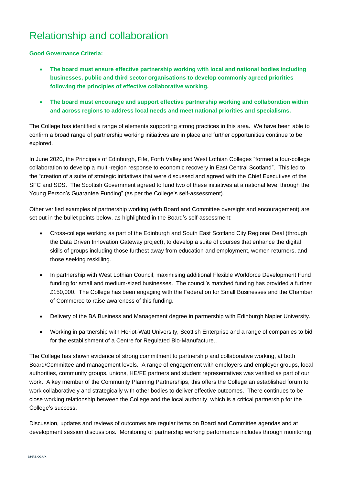### Relationship and collaboration

**Good Governance Criteria:**

- **The board must ensure effective partnership working with local and national bodies including businesses, public and third sector organisations to develop commonly agreed priorities following the principles of effective collaborative working.**
- **The board must encourage and support effective partnership working and collaboration within and across regions to address local needs and meet national priorities and specialisms.**

The College has identified a range of elements supporting strong practices in this area. We have been able to confirm a broad range of partnership working initiatives are in place and further opportunities continue to be explored.

In June 2020, the Principals of Edinburgh, Fife, Forth Valley and West Lothian Colleges "formed a four-college collaboration to develop a multi-region response to economic recovery in East Central Scotland". This led to the "creation of a suite of strategic initiatives that were discussed and agreed with the Chief Executives of the SFC and SDS. The Scottish Government agreed to fund two of these initiatives at a national level through the Young Person's Guarantee Funding" (as per the College's self-assessment).

Other verified examples of partnership working (with Board and Committee oversight and encouragement) are set out in the bullet points below, as highlighted in the Board's self-assessment:

- Cross-college working as part of the Edinburgh and South East Scotland City Regional Deal (through the Data Driven Innovation Gateway project), to develop a suite of courses that enhance the digital skills of groups including those furthest away from education and employment, women returners, and those seeking reskilling.
- In partnership with West Lothian Council, maximising additional Flexible Workforce Development Fund funding for small and medium-sized businesses. The council's matched funding has provided a further £150,000. The College has been engaging with the Federation for Small Businesses and the Chamber of Commerce to raise awareness of this funding.
- Delivery of the BA Business and Management degree in partnership with Edinburgh Napier University.
- Working in partnership with Heriot-Watt University, Scottish Enterprise and a range of companies to bid for the establishment of a Centre for Regulated Bio-Manufacture..

The College has shown evidence of strong commitment to partnership and collaborative working, at both Board/Committee and management levels. A range of engagement with employers and employer groups, local authorities, community groups, unions, HE/FE partners and student representatives was verified as part of our work. A key member of the Community Planning Partnerships, this offers the College an established forum to work collaboratively and strategically with other bodies to deliver effective outcomes. There continues to be close working relationship between the College and the local authority, which is a critical partnership for the College's success.

Discussion, updates and reviews of outcomes are regular items on Board and Committee agendas and at development session discussions. Monitoring of partnership working performance includes through monitoring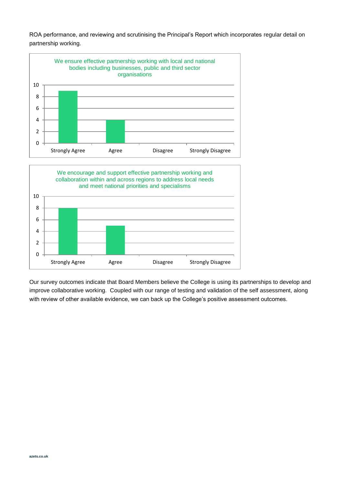ROA performance, and reviewing and scrutinising the Principal's Report which incorporates regular detail on partnership working.





Our survey outcomes indicate that Board Members believe the College is using its partnerships to develop and improve collaborative working. Coupled with our range of testing and validation of the self assessment, along with review of other available evidence, we can back up the College's positive assessment outcomes.